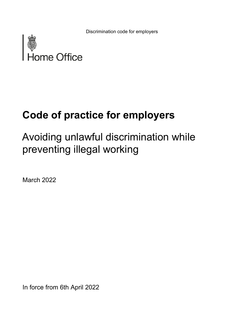Discrimination code for employers



# **Code of practice for employers**

# Avoiding unlawful discrimination while preventing illegal working

March 2022

In force from 6th April 2022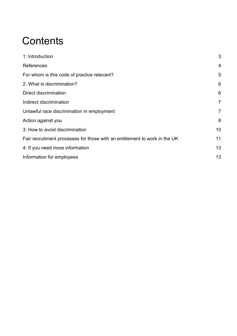## **Contents**

| 1: Introduction                                                            | 3              |
|----------------------------------------------------------------------------|----------------|
| References                                                                 | $\overline{4}$ |
| For whom is this code of practice relevant?                                | 5              |
| 2: What is discrimination?                                                 | 6              |
| Direct discrimination                                                      | 6              |
| Indirect discrimination                                                    | $\overline{7}$ |
| Unlawful race discrimination in employment                                 | $\overline{7}$ |
| Action against you                                                         | 8              |
| 3: How to avoid discrimination                                             | 10             |
| Fair recruitment processes for those with an entitlement to work in the UK | 11             |
| 4: If you need more information                                            | 13             |
| Information for employees                                                  | 13             |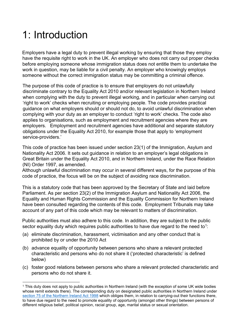## <span id="page-2-0"></span>1: Introduction

Employers have a legal duty to prevent illegal working by ensuring that those they employ have the requisite right to work in the UK. An employer who does not carry out proper checks before employing someone whose immigration status does not entitle them to undertake the work in question, may be liable for a civil penalty. An employer who knowingly employs someone without the correct immigration status may be committing a criminal offence.

The purpose of this code of practice is to ensure that employers do not unlawfully discriminate contrary to the Equality Act 2010 and/or relevant legislation in Northern Ireland when complying with the duty to prevent illegal working, and in particular when carrying out 'right to work' checks when recruiting or employing people. The code provides practical guidance on what employers should or should not do, to avoid unlawful discrimination when complying with your duty as an employer to conduct 'right to work' checks. The code also applies to organisations, such as employment and recruitment agencies where they are employers. Employment and recruitment agencies have additional and separate statutory obligations under the Equality Act 2010, for example those that apply to 'employment service-providers.'

This code of practice has been issued under section 23(1) of the Immigration, Asylum and Nationality Act 2006. It sets out guidance in relation to an employer's legal obligations in Great Britain under the Equality Act 2010, and in Northern Ireland, under the Race Relation (NI) Order 1997, as amended.

Although unlawful discrimination may occur in several different ways, for the purpose of this code of practice, the focus will be on the subject of avoiding race discrimination.

This is a statutory code that has been approved by the Secretary of State and laid before Parliament. As per section 23(2) of the Immigration Asylum and Nationality Act 2006, the Equality and Human Rights Commission and the Equality Commission for Northern Ireland have been consulted regarding the contents of this code. Employment Tribunals may take account of any part of this code which may be relevant to matters of discrimination.

Public authorities must also adhere to this code. In addition, they are subject to the public sector equality duty which requires public authorities to have due regard to the need to<sup>1</sup>:

- (a) eliminate discrimination, harassment, victimisation and any other conduct that is prohibited by or under the 2010 Act
- (b) advance equality of opportunity between persons who share a relevant protected characteristic and persons who do not share it ('protected characteristic' is defined below)
- (c) foster good relations between persons who share a relevant protected characteristic and persons who do not share it.

<span id="page-2-1"></span><sup>&</sup>lt;sup>1</sup> This duty does not apply to public authorities in Northern Ireland (with the exception of some UK wide bodies whose remit extends there). The corresponding duty on designated public authorities in Northern Ireland under [section 75 of the Northern Ireland Act 1998](https://www.legislation.gov.uk/ukpga/1998/47/section/75) which obliges them, in relation to carrying-out their functions there, to have due regard to the need to promote equality of opportunity (amongst other things) between persons of different religious belief, political opinion, racial group, age, marital status or sexual orientation.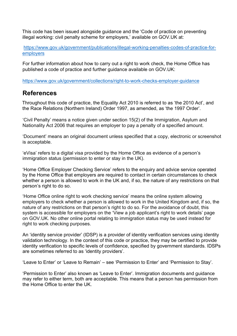This code has been issued alongside guidance and the 'Code of practice on preventing illegal working: civil penalty scheme for employers,' available on GOV.UK at:

[https://www.gov.uk/government/publications/illegal-working-penalties-codes-of-practice-for](https://www.gov.uk/government/publications/illegal-working-penalties-codes-of-practice-for-employers)[employers](https://www.gov.uk/government/publications/illegal-working-penalties-codes-of-practice-for-employers)

For further information about how to carry out a right to work check, the Home Office has published a code of practice and further guidance available on GOV.UK:

<https://www.gov.uk/government/collections/right-to-work-checks-employer-guidance>

#### <span id="page-3-0"></span>**References**

Throughout this code of practice, the Equality Act 2010 is referred to as 'the 2010 Act', and the Race Relations (Northern Ireland) Order 1997, as amended, as 'the 1997 Order'.

'Civil Penalty' means a notice given under section 15(2) of the Immigration, Asylum and Nationality Act 2006 that requires an employer to pay a penalty of a specified amount.

'Document' means an original document unless specified that a copy, electronic or screenshot is acceptable.

'eVisa' refers to a digital visa provided by the Home Office as evidence of a person's immigration status (permission to enter or stay in the UK).

'Home Office Employer Checking Service' refers to the enquiry and advice service operated by the Home Office that employers are required to contact in certain circumstances to check whether a person is allowed to work in the UK and, if so, the nature of any restrictions on that person's right to do so.

'Home Office online right to work checking service' means the online system allowing employers to check whether a person is allowed to work in the United Kingdom and, if so, the nature of any restrictions on that person's right to do so. For the avoidance of doubt, this system is accessible for employers on the 'View a job applicant's right to work details' page on GOV.UK. No other online portal relating to immigration status may be used instead for right to work checking purposes.

An 'identity service provider' (IDSP) is a provider of identity verification services using identity validation technology. In the context of this code or practice, they may be certified to provide identity verification to specific levels of confidence, specified by government standards. IDSPs are sometimes referred to as 'identity providers'.

'Leave to Enter' or 'Leave to Remain' – see 'Permission to Enter' and 'Permission to Stay'.

'Permission to Enter' also known as 'Leave to Enter'. Immigration documents and guidance may refer to either term, both are acceptable. This means that a person has permission from the Home Office to enter the UK.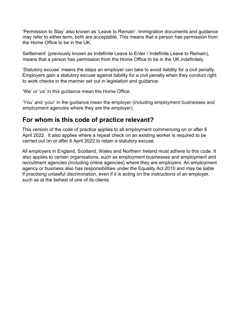'Permission to Stay' also known as 'Leave to Remain'. Immigration documents and guidance may refer to either term, both are acceptable. This means that a person has permission from the Home Office to be in the UK.

Settlement' (previously known as Indefinite Leave to Enter / Indefinite Leave to Remain), means that a person has permission from the Home Office to be in the UK indefinitely.

'Statutory excuse' means the steps an employer can take to avoid liability for a civil penalty. Employers gain a statutory excuse against liability for a civil penalty when they conduct right to work checks in the manner set out in legislation and guidance.

'We' or 'us' in this guidance mean the Home Office.

'You' and 'your' in the guidance mean the employer (including employment businesses and employment agencies where they are the employer).

#### <span id="page-4-0"></span>**For whom is this code of practice relevant?**

This version of the code of practice applies to all employment commencing on or after 6 April 2022. It also applies where a repeat check on an existing worker is required to be carried out on or after 6 April 2022 to retain a statutory excuse.

All employers in England, Scotland, Wales and Northern Ireland must adhere to this code. It also applies to certain organisations, such as employment businesses and employment and recruitment agencies (including online agencies) where they are employers. An employment agency or business also has responsibilities under the Equality Act 2010 and may be liable if practising unlawful discrimination, even if it is acting on the instructions of an employer, such as at the behest of one of its clients.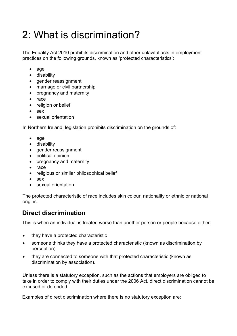## <span id="page-5-0"></span>2: What is discrimination?

The Equality Act 2010 prohibits discrimination and other unlawful acts in employment practices on the following grounds, known as 'protected characteristics':

- age
- disability
- gender reassignment
- marriage or civil partnership
- pregnancy and maternity
- race
- religion or belief
- sex
- sexual orientation

In Northern Ireland, legislation prohibits discrimination on the grounds of:

- age
- disability
- gender reassignment
- political opinion
- pregnancy and maternity
- race
- religious or similar philosophical belief
- sex
- sexual orientation

The protected characteristic of race includes skin colour, nationality or ethnic or national origins.

### <span id="page-5-1"></span>**Direct discrimination**

This is when an individual is treated worse than another person or people because either:

- they have a protected characteristic
- someone thinks they have a protected characteristic (known as discrimination by perception)
- they are connected to someone with that protected characteristic (known as discrimination by association).

Unless there is a statutory exception, such as the actions that employers are obliged to take in order to comply with their duties under the 2006 Act, direct discrimination cannot be excused or defended.

Examples of direct discrimination where there is no statutory exception are: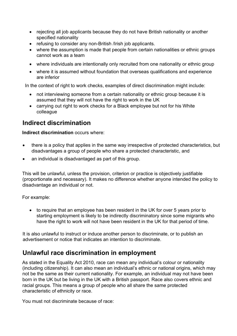- rejecting all job applicants because they do not have British nationality or another specified nationality
- refusing to consider any non-British /Irish job applicants.
- where the assumption is made that people from certain nationalities or ethnic groups cannot work as a team
- where individuals are intentionally only recruited from one nationality or ethnic group
- where it is assumed without foundation that overseas qualifications and experience are inferior

In the context of right to work checks, examples of direct discrimination might include:

- not interviewing someone from a certain nationality or ethnic group because it is assumed that they will not have the right to work in the UK
- carrying out right to work checks for a Black employee but not for his White colleague

### <span id="page-6-0"></span>**Indirect discrimination**

**Indirect discrimination** occurs where:

- there is a policy that applies in the same way irrespective of protected characteristics, but disadvantages a group of people who share a protected characteristic, and
- an individual is disadvantaged as part of this group.

This will be unlawful, unless the provision, criterion or practice is objectively justifiable (proportionate and necessary). It makes no difference whether anyone intended the policy to disadvantage an individual or not.

For example:

• to require that an employee has been resident in the UK for over 5 years prior to starting employment is likely to be indirectly discriminatory since some migrants who have the right to work will not have been resident in the UK for that period of time.

It is also unlawful to instruct or induce another person to discriminate, or to publish an advertisement or notice that indicates an intention to discriminate.

### <span id="page-6-1"></span>**Unlawful race discrimination in employment**

As stated in the Equality Act 2010, race can mean any individual's colour or nationality (including citizenship). It can also mean an individual's ethnic or national origins, which may not be the same as their current nationality. For example, an individual may not have been born in the UK but be living in the UK with a British passport. Race also covers ethnic and racial groups. This means a group of people who all share the same protected characteristic of ethnicity or race.

You must not discriminate because of race: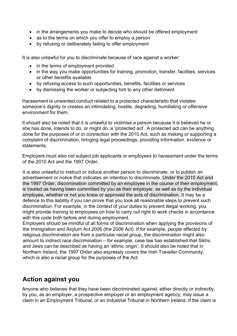- in the arrangements you make to decide who should be offered employment
- as to the terms on which you offer to employ a person
- by refusing or deliberately failing to offer employment

It is also unlawful for you to discriminate because of race against a worker:

- in the terms of employment provided
- in the way you make opportunities for training, promotion, transfer, facilities, services or other benefits available
- by refusing access to such opportunities, benefits, facilities or services
- by dismissing the worker or subjecting him to any other detriment

Harassment is unwanted conduct related to a protected characteristic that violates someone's dignity or creates an intimidating, hostile, degrading, humiliating or offensive environment for them.

It should also be noted that it is unlawful to victimise a person because it is believed he or she has done, intends to do, or might do, a 'protected act'. A protected act can be anything done for the purposes of or in connection with the 2010 Act, such as making or supporting a complaint of discrimination, bringing legal proceedings, providing information, evidence or statements.

Employers must also not subject job applicants or employees to harassment under the terms of the 2010 Act and the 1997 Order.

It is also unlawful to instruct or induce another person to discriminate, or to publish an advertisement or notice that indicates an intention to discriminate. Under the 2010 Act and the 1997 Order, discrimination committed by an employee in the course of their employment, is treated as having been committed by you as their employer, as well as by the individual employee, whether or not you knew or approved the acts of discrimination. It may be a defence to this liability if you can prove that you took all reasonable steps to prevent such discrimination. For example, in the context of your duties to prevent illegal working, you might provide training to employees on how to carry out right to work checks in accordance with this code both before and during employment.

Employers should be mindful of all forms of discrimination when applying the provisions of the Immigration and Asylum Act 2006 (the 2006 Act). If for example, people affected by religious discrimination are from a particular racial group, the discrimination might also amount to indirect race discrimination – for example, case law has established that Sikhs and Jews can be described as having an 'ethnic origin'. It should also be noted that in Northern Ireland, the 1997 Order also expressly covers the Irish Traveller Community, which is also a racial group for the purposes of the Act.

### <span id="page-7-0"></span>**Action against you**

Anyone who believes that they have been discriminated against, either directly or indirectly, by you, as an employer, a prospective employer or an employment agency, may issue a claim in an Employment Tribunal, or an Industrial Tribunal in Northern Ireland. If the claim is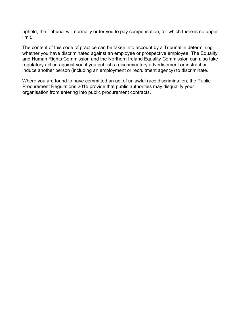upheld, the Tribunal will normally order you to pay compensation, for which there is no upper limit.

The content of this code of practice can be taken into account by a Tribunal in determining whether you have discriminated against an employee or prospective employee. The Equality and Human Rights Commission and the Northern Ireland Equality Commission can also take regulatory action against you if you publish a discriminatory advertisement or instruct or induce another person (including an employment or recruitment agency) to discriminate.

Where you are found to have committed an act of unlawful race discrimination, the Public Procurement Regulations 2015 provide that public authorities may disqualify your organisation from entering into public procurement contracts.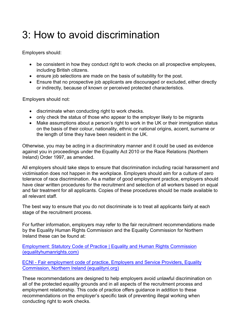## <span id="page-9-0"></span>3: How to avoid discrimination

Employers should:

- be consistent in how they conduct right to work checks on all prospective employees, including British citizens.
- ensure job selections are made on the basis of suitability for the post.
- Ensure that no prospective job applicants are discouraged or excluded, either directly or indirectly, because of known or perceived protected characteristics.

Employers should not:

- discriminate when conducting right to work checks.
- only check the status of those who appear to the employer likely to be migrants
- Make assumptions about a person's right to work in the UK or their immigration status on the basis of their colour, nationality, ethnic or national origins, accent, surname or the length of time they have been resident in the UK.

Otherwise, you may be acting in a discriminatory manner and it could be used as evidence against you in proceedings under the Equality Act 2010 or the Race Relations (Northern Ireland) Order 1997, as amended.

All employers should take steps to ensure that discrimination including racial harassment and victimisation does not happen in the workplace. Employers should aim for a culture of zero tolerance of race discrimination. As a matter of good employment practice, employers should have clear written procedures for the recruitment and selection of all workers based on equal and fair treatment for all applicants. Copies of these procedures should be made available to all relevant staff.

The best way to ensure that you do not discriminate is to treat all applicants fairly at each stage of the recruitment process.

For further information, employers may refer to the fair recruitment recommendations made by the Equality Human Rights Commission and the Equality Commission for Northern Ireland these can be found at:

[Employment: Statutory Code of Practice | Equality and Human Rights Commission](https://www.equalityhumanrights.com/en/publication-download/employment-statutory-code-practice)  [\(equalityhumanrights.com\)](https://www.equalityhumanrights.com/en/publication-download/employment-statutory-code-practice)

ECNI - [Fair employment code of practice, Employers and Service Providers, Equality](https://www.equalityni.org/FairEmployment)  [Commission, Northern Ireland \(equalityni.org\)](https://www.equalityni.org/FairEmployment)

These recommendations are designed to help employers avoid unlawful discrimination on all of the protected equality grounds and in all aspects of the recruitment process and employment relationship. This code of practice offers guidance in addition to these recommendations on the employer's specific task of preventing illegal working when conducting right to work checks.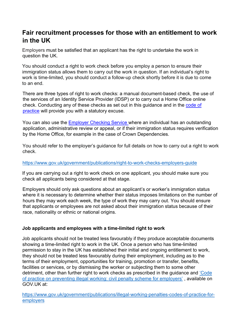### <span id="page-10-0"></span>**Fair recruitment processes for those with an entitlement to work in the UK**

Employers must be satisfied that an applicant has the right to undertake the work in question the UK.

You should conduct a right to work check before you employ a person to ensure their immigration status allows them to carry out the work in question. If an individual's right to work is time-limited, you should conduct a follow-up check shortly before it is due to come to an end.

There are three types of right to work checks: a manual document-based check, the use of the services of an Identity Service Provider (IDSP) or to carry out a Home Office online check. Conducting any of these checks as set out in this guidance and in the [code of](https://www.gov.uk/government/publications/illegal-working-penalties-codes-of-practice-for-employers-2018)  [practice](https://www.gov.uk/government/publications/illegal-working-penalties-codes-of-practice-for-employers-2018) [wi](https://www.gov.uk/government/publications/illegal-working-penalties-codes-of-practice-for-employers-2018)ll provide you with a statutory excuse.

You can also use the [Employer Checking Service](https://www.gov.uk/employee-immigration-employment-status) where an individual has an outstanding application, administrative review or appeal, or if their immigration status requires verification by the Home Office, for example in the case of Crown Dependencies.

You should refer to the employer's guidance for full details on how to carry out a right to work check.

#### <https://www.gov.uk/government/publications/right-to-work-checks-employers-guide>

If you are carrying out a right to work check on one applicant, you should make sure you check all applicants being considered at that stage.

Employers should only ask questions about an applicant's or worker's immigration status where it is necessary to determine whether their status imposes limitations on the number of hours they may work each week, the type of work they may carry out. You should ensure that applicants or employees are not asked about their immigration status because of their race, nationality or ethnic or national origins.

#### **Job applicants and employees with a time-limited right to work**

Job applicants should not be treated less favourably if they produce acceptable documents showing a time-limited right to work in the UK. Once a person who has time-limited permission to stay in the UK has established their initial and ongoing entitlement to work, they should not be treated less favourably during their employment, including as to the terms of their employment, opportunities for training, promotion or transfer, benefits, facilities or services, or by dismissing the worker or subjecting them to some other detriment, other than further right to work checks as prescribed in the guidance and ['Code](https://www.gov.uk/government/publications/illegal-working-penalties-codes-of-practice-for-employers)  [of practice on preventing illegal working: civil penalty scheme for employers'](https://www.gov.uk/government/publications/illegal-working-penalties-codes-of-practice-for-employers) , available on GOV.UK at:

[https://www.gov.uk/government/publications/illegal-working-penalties-codes-of-practice-for](https://www.gov.uk/government/publications/illegal-working-penalties-codes-of-practice-for-employers)[employers](https://www.gov.uk/government/publications/illegal-working-penalties-codes-of-practice-for-employers)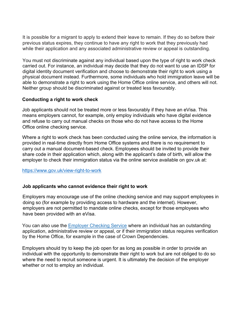It is possible for a migrant to apply to extend their leave to remain. If they do so before their previous status expires, they continue to have any right to work that they previously had while their application and any associated administrative review or appeal is outstanding.

You must not discriminate against any individual based upon the type of right to work check carried out. For instance, an individual may decide that they do not want to use an IDSP for digital identity document verification and choose to demonstrate their right to work using a physical document instead. Furthermore, some individuals who hold immigration leave will be able to demonstrate a right to work using the Home Office online service, and others will not. Neither group should be discriminated against or treated less favourably.

#### **Conducting a right to work check**

Job applicants should not be treated more or less favourably if they have an eVisa. This means employers cannot, for example, only employ individuals who have digital evidence and refuse to carry out manual checks on those who do not have access to the Home Office online checking service.

Where a right to work check has been conducted using the online service, the information is provided in real-time directly from Home Office systems and there is no requirement to carry out a manual document-based check. Employees should be invited to provide their share code in their application which, along with the applicant's date of birth, will allow the employer to check their immigration status via the online service available on gov.uk at:

<https://www.gov.uk/view-right-to-work>

#### **Job applicants who cannot evidence their right to work**

Employers may encourage use of the online checking service and may support employees in doing so (for example by providing access to hardware and the internet). However, employers are not permitted to mandate online checks, except for those employees who have been provided with an eVisa.

You can also use the [Employer Checking Service](https://www.gov.uk/employee-immigration-employment-status) where an individual has an outstanding application, administrative review or appeal, or if their immigration status requires verification by the Home Office, for example in the case of Crown Dependencies.

Employers should try to keep the job open for as long as possible in order to provide an individual with the opportunity to demonstrate their right to work but are not obliged to do so where the need to recruit someone is urgent. It is ultimately the decision of the employer whether or not to employ an individual.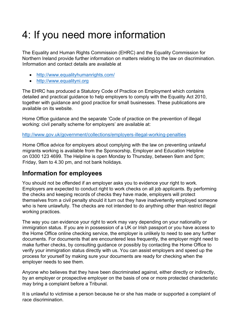# <span id="page-12-0"></span>4: If you need more information

The Equality and Human Rights Commission (EHRC) and the Equality Commission for Northern Ireland provide further information on matters relating to the law on discrimination. Information and contact details are available at

- <http://www.equalityhumanrights.com/>
- [http://www.equalityni.org](http://www.equalityni.org./)

The EHRC has produced a Statutory Code of Practice on Employment which contains detailed and practical guidance to help employers to comply with the Equality Act 2010, together with guidance and good practice for small businesses. These publications are available on its website.

Home Office guidance and the separate 'Code of practice on the prevention of illegal working: civil penalty scheme for employers' are available at:

<http://www.gov.uk/government/collections/employers-illegal-working-penalties>

Home Office advice for employers about complying with the law on preventing unlawful migrants working is available from the Sponsorship, Employer and Education Helpline on 0300 123 4699. The Helpline is open Monday to Thursday, between 9am and 5pm; Friday, 9am to 4.30 pm, and not bank holidays.

### <span id="page-12-1"></span>**Information for employees**

You should not be offended if an employer asks you to evidence your right to work. Employers are expected to conduct right to work checks on all job applicants. By performing the checks and keeping records of checks they have made, employers will protect themselves from a civil penalty should it turn out they have inadvertently employed someone who is here unlawfully. The checks are not intended to do anything other than restrict illegal working practices.

The way you can evidence your right to work may vary depending on your nationality or immigration status. If you are in possession of a UK or Irish passport or you have access to the Home Office online checking service, the employer is unlikely to need to see any further documents. For documents that are encountered less frequently, the employer might need to make further checks, by consulting guidance or possibly by contacting the Home Office to verify your immigration status directly with us. You can assist employers and speed up the process for yourself by making sure your documents are ready for checking when the employer needs to see them.

Anyone who believes that they have been discriminated against, either directly or indirectly, by an employer or prospective employer on the basis of one or more protected characteristic may bring a complaint before a Tribunal.

It is unlawful to victimise a person because he or she has made or supported a complaint of race discrimination.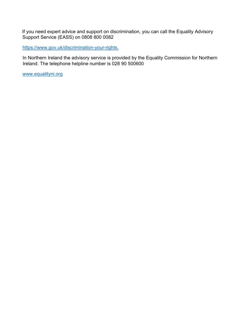If you need expert advice and support on discrimination, you can call the Equality Advisory Support Service (EASS) on 0808 800 0082

[https://www.gov.uk/discrimination-your-rights.](https://www.gov.uk/discrimination-your-rights)

In Northern Ireland the advisory service is provided by the Equality Commission for Northern Ireland. The telephone helpline number is 028 90 500600

[www.equalityni.org](http://www.equalityni.org/)